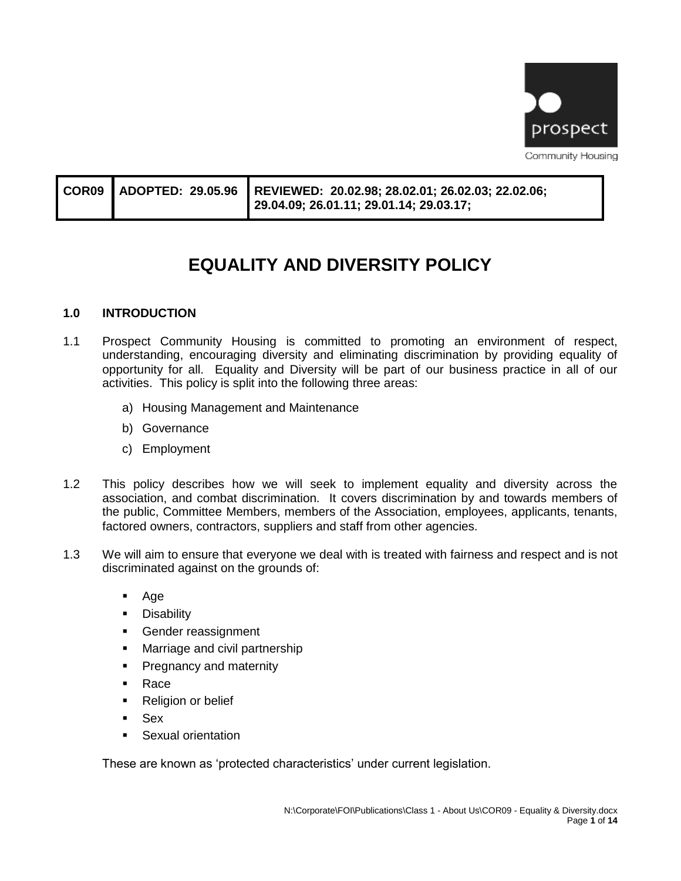

|  | 29.04.09; 26.01.11; 29.01.14; 29.03.17; |
|--|-----------------------------------------|
|  |                                         |

# **EQUALITY AND DIVERSITY POLICY**

### **1.0 INTRODUCTION**

- 1.1 Prospect Community Housing is committed to promoting an environment of respect, understanding, encouraging diversity and eliminating discrimination by providing equality of opportunity for all. Equality and Diversity will be part of our business practice in all of our activities. This policy is split into the following three areas:
	- a) Housing Management and Maintenance
	- b) Governance
	- c) Employment
- 1.2 This policy describes how we will seek to implement equality and diversity across the association, and combat discrimination. It covers discrimination by and towards members of the public, Committee Members, members of the Association, employees, applicants, tenants, factored owners, contractors, suppliers and staff from other agencies.
- 1.3 We will aim to ensure that everyone we deal with is treated with fairness and respect and is not discriminated against on the grounds of:
	- Age
	- **•** Disability
	- **•** Gender reassignment
	- **■** Marriage and civil partnership
	- **•** Pregnancy and maternity
	- Race
	- Religion or belief
	- Sex
	- Sexual orientation

These are known as 'protected characteristics' under current legislation.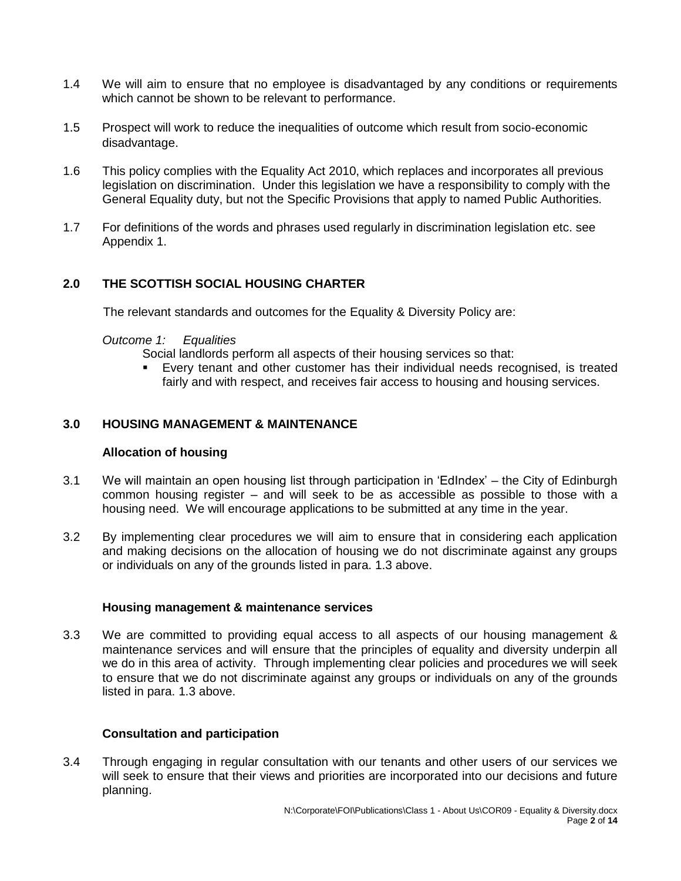- 1.4 We will aim to ensure that no employee is disadvantaged by any conditions or requirements which cannot be shown to be relevant to performance.
- 1.5 Prospect will work to reduce the inequalities of outcome which result from socio-economic disadvantage.
- 1.6 This policy complies with the Equality Act 2010, which replaces and incorporates all previous legislation on discrimination. Under this legislation we have a responsibility to comply with the General Equality duty, but not the Specific Provisions that apply to named Public Authorities.
- 1.7 For definitions of the words and phrases used regularly in discrimination legislation etc. see Appendix 1.

### **2.0 THE SCOTTISH SOCIAL HOUSING CHARTER**

The relevant standards and outcomes for the Equality & Diversity Policy are:

#### *Outcome 1: Equalities*

Social landlords perform all aspects of their housing services so that:

Every tenant and other customer has their individual needs recognised, is treated fairly and with respect, and receives fair access to housing and housing services.

### **3.0 HOUSING MANAGEMENT & MAINTENANCE**

#### **Allocation of housing**

- 3.1 We will maintain an open housing list through participation in 'EdIndex' the City of Edinburgh common housing register – and will seek to be as accessible as possible to those with a housing need. We will encourage applications to be submitted at any time in the year.
- 3.2 By implementing clear procedures we will aim to ensure that in considering each application and making decisions on the allocation of housing we do not discriminate against any groups or individuals on any of the grounds listed in para. 1.3 above.

#### **Housing management & maintenance services**

3.3 We are committed to providing equal access to all aspects of our housing management & maintenance services and will ensure that the principles of equality and diversity underpin all we do in this area of activity. Through implementing clear policies and procedures we will seek to ensure that we do not discriminate against any groups or individuals on any of the grounds listed in para. 1.3 above.

#### **Consultation and participation**

3.4 Through engaging in regular consultation with our tenants and other users of our services we will seek to ensure that their views and priorities are incorporated into our decisions and future planning.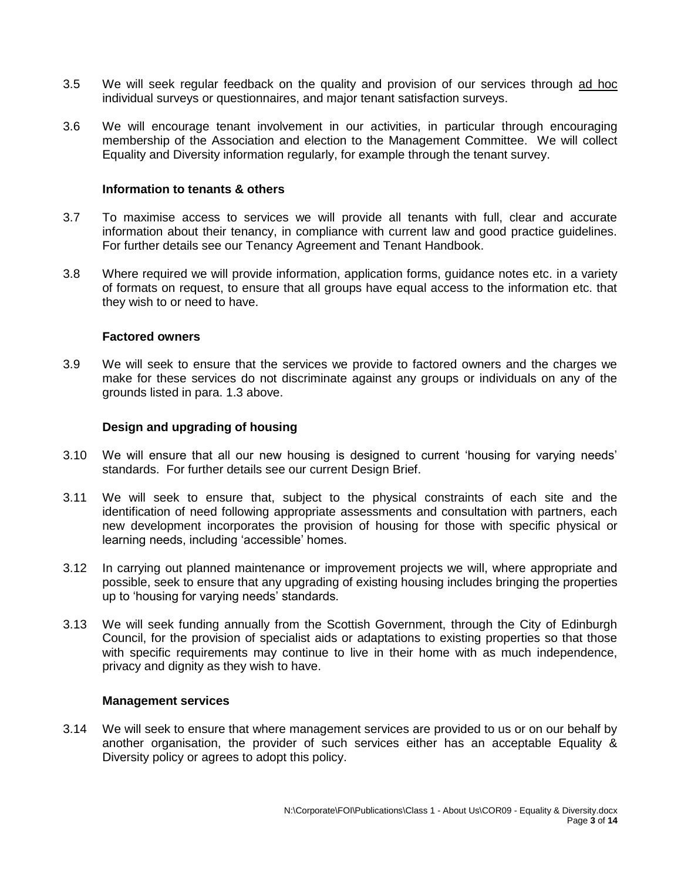- 3.5 We will seek regular feedback on the quality and provision of our services through ad hoc individual surveys or questionnaires, and major tenant satisfaction surveys.
- 3.6 We will encourage tenant involvement in our activities, in particular through encouraging membership of the Association and election to the Management Committee. We will collect Equality and Diversity information regularly, for example through the tenant survey.

#### **Information to tenants & others**

- 3.7 To maximise access to services we will provide all tenants with full, clear and accurate information about their tenancy, in compliance with current law and good practice guidelines. For further details see our Tenancy Agreement and Tenant Handbook.
- 3.8 Where required we will provide information, application forms, guidance notes etc. in a variety of formats on request, to ensure that all groups have equal access to the information etc. that they wish to or need to have.

#### **Factored owners**

3.9 We will seek to ensure that the services we provide to factored owners and the charges we make for these services do not discriminate against any groups or individuals on any of the grounds listed in para. 1.3 above.

#### **Design and upgrading of housing**

- 3.10 We will ensure that all our new housing is designed to current 'housing for varying needs' standards. For further details see our current Design Brief.
- 3.11 We will seek to ensure that, subject to the physical constraints of each site and the identification of need following appropriate assessments and consultation with partners, each new development incorporates the provision of housing for those with specific physical or learning needs, including 'accessible' homes.
- 3.12 In carrying out planned maintenance or improvement projects we will, where appropriate and possible, seek to ensure that any upgrading of existing housing includes bringing the properties up to 'housing for varying needs' standards.
- 3.13 We will seek funding annually from the Scottish Government, through the City of Edinburgh Council, for the provision of specialist aids or adaptations to existing properties so that those with specific requirements may continue to live in their home with as much independence, privacy and dignity as they wish to have.

#### **Management services**

3.14 We will seek to ensure that where management services are provided to us or on our behalf by another organisation, the provider of such services either has an acceptable Equality & Diversity policy or agrees to adopt this policy.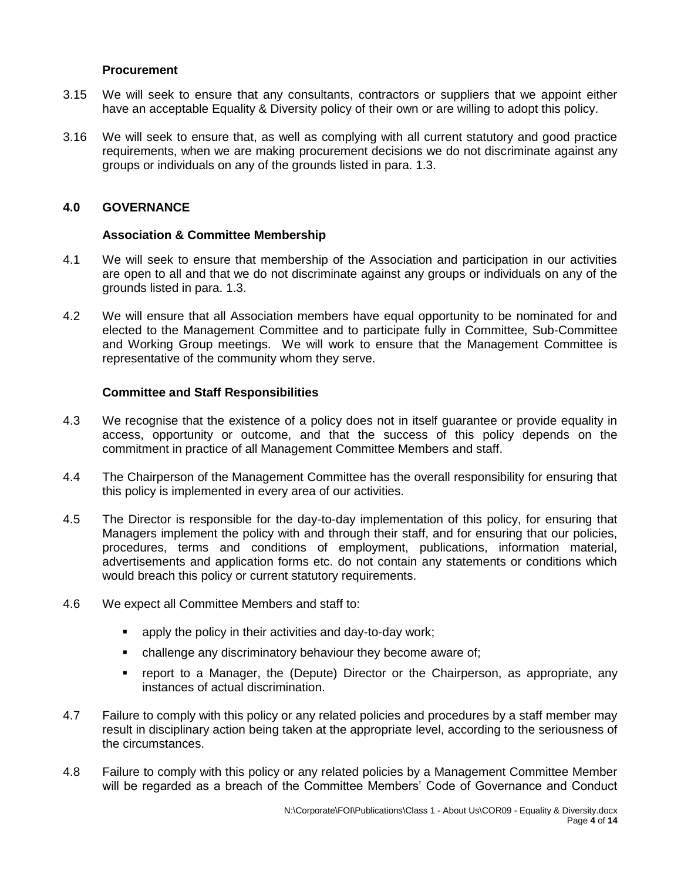#### **Procurement**

- 3.15 We will seek to ensure that any consultants, contractors or suppliers that we appoint either have an acceptable Equality & Diversity policy of their own or are willing to adopt this policy.
- 3.16 We will seek to ensure that, as well as complying with all current statutory and good practice requirements, when we are making procurement decisions we do not discriminate against any groups or individuals on any of the grounds listed in para. 1.3.

### **4.0 GOVERNANCE**

#### **Association & Committee Membership**

- 4.1 We will seek to ensure that membership of the Association and participation in our activities are open to all and that we do not discriminate against any groups or individuals on any of the grounds listed in para. 1.3.
- 4.2 We will ensure that all Association members have equal opportunity to be nominated for and elected to the Management Committee and to participate fully in Committee, Sub-Committee and Working Group meetings. We will work to ensure that the Management Committee is representative of the community whom they serve.

### **Committee and Staff Responsibilities**

- 4.3 We recognise that the existence of a policy does not in itself guarantee or provide equality in access, opportunity or outcome, and that the success of this policy depends on the commitment in practice of all Management Committee Members and staff.
- 4.4 The Chairperson of the Management Committee has the overall responsibility for ensuring that this policy is implemented in every area of our activities.
- 4.5 The Director is responsible for the day-to-day implementation of this policy, for ensuring that Managers implement the policy with and through their staff, and for ensuring that our policies, procedures, terms and conditions of employment, publications, information material, advertisements and application forms etc. do not contain any statements or conditions which would breach this policy or current statutory requirements.
- 4.6 We expect all Committee Members and staff to:
	- **•** apply the policy in their activities and day-to-day work:
	- **•** challenge any discriminatory behaviour they become aware of;
	- report to a Manager, the (Depute) Director or the Chairperson, as appropriate, any instances of actual discrimination.
- 4.7 Failure to comply with this policy or any related policies and procedures by a staff member may result in disciplinary action being taken at the appropriate level, according to the seriousness of the circumstances.
- 4.8 Failure to comply with this policy or any related policies by a Management Committee Member will be regarded as a breach of the Committee Members' Code of Governance and Conduct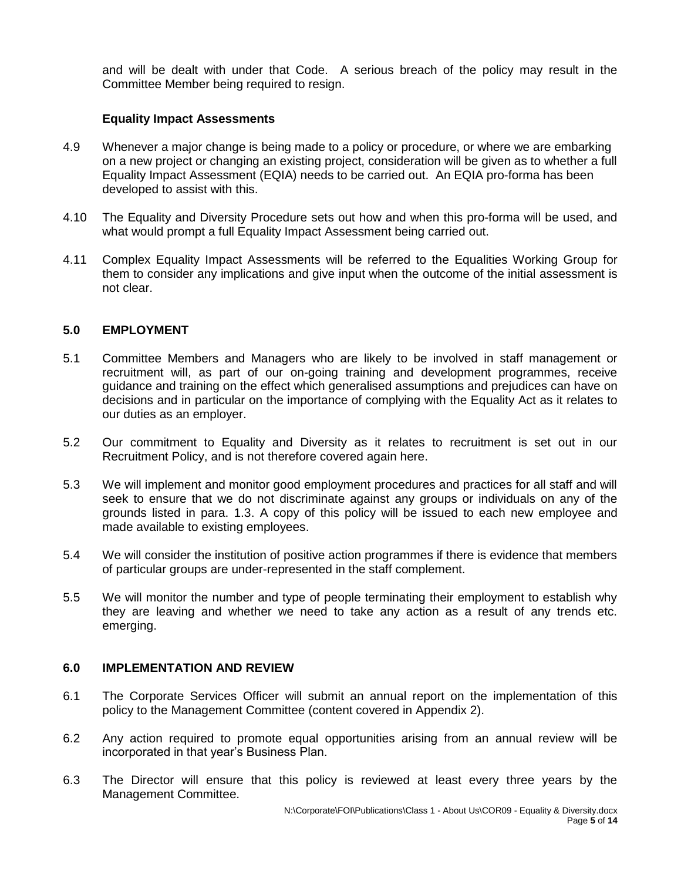and will be dealt with under that Code. A serious breach of the policy may result in the Committee Member being required to resign.

#### **Equality Impact Assessments**

- 4.9 Whenever a major change is being made to a policy or procedure, or where we are embarking on a new project or changing an existing project, consideration will be given as to whether a full Equality Impact Assessment (EQIA) needs to be carried out. An EQIA pro-forma has been developed to assist with this.
- 4.10 The Equality and Diversity Procedure sets out how and when this pro-forma will be used, and what would prompt a full Equality Impact Assessment being carried out.
- 4.11 Complex Equality Impact Assessments will be referred to the Equalities Working Group for them to consider any implications and give input when the outcome of the initial assessment is not clear.

### **5.0 EMPLOYMENT**

- 5.1 Committee Members and Managers who are likely to be involved in staff management or recruitment will, as part of our on-going training and development programmes, receive guidance and training on the effect which generalised assumptions and prejudices can have on decisions and in particular on the importance of complying with the Equality Act as it relates to our duties as an employer.
- 5.2 Our commitment to Equality and Diversity as it relates to recruitment is set out in our Recruitment Policy, and is not therefore covered again here.
- 5.3 We will implement and monitor good employment procedures and practices for all staff and will seek to ensure that we do not discriminate against any groups or individuals on any of the grounds listed in para. 1.3. A copy of this policy will be issued to each new employee and made available to existing employees.
- 5.4 We will consider the institution of positive action programmes if there is evidence that members of particular groups are under-represented in the staff complement.
- 5.5 We will monitor the number and type of people terminating their employment to establish why they are leaving and whether we need to take any action as a result of any trends etc. emerging.

### **6.0 IMPLEMENTATION AND REVIEW**

- 6.1 The Corporate Services Officer will submit an annual report on the implementation of this policy to the Management Committee (content covered in Appendix 2).
- 6.2 Any action required to promote equal opportunities arising from an annual review will be incorporated in that year's Business Plan.
- 6.3 The Director will ensure that this policy is reviewed at least every three years by the Management Committee.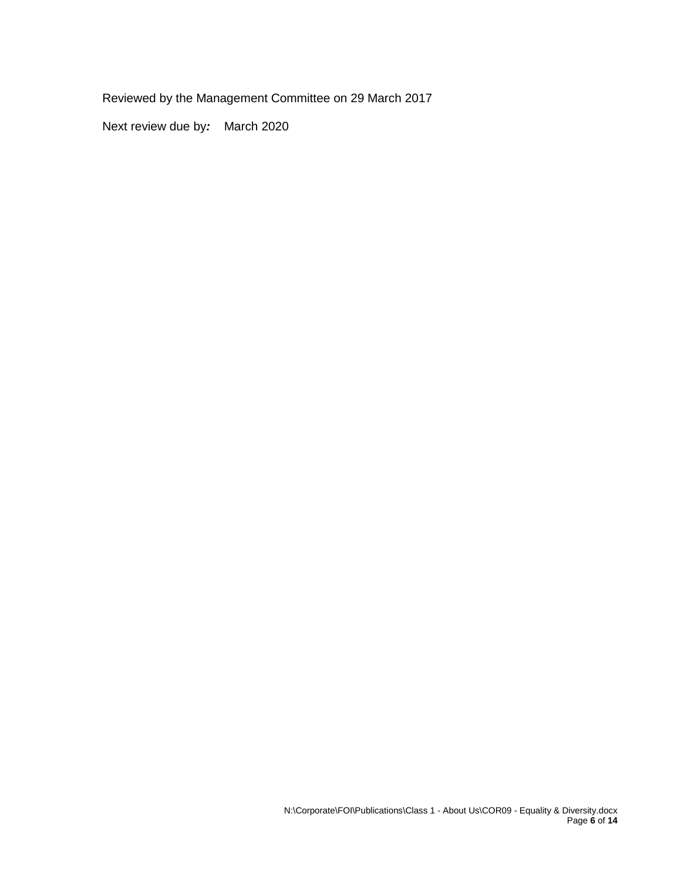Reviewed by the Management Committee on 29 March 2017

Next review due by*:* March 2020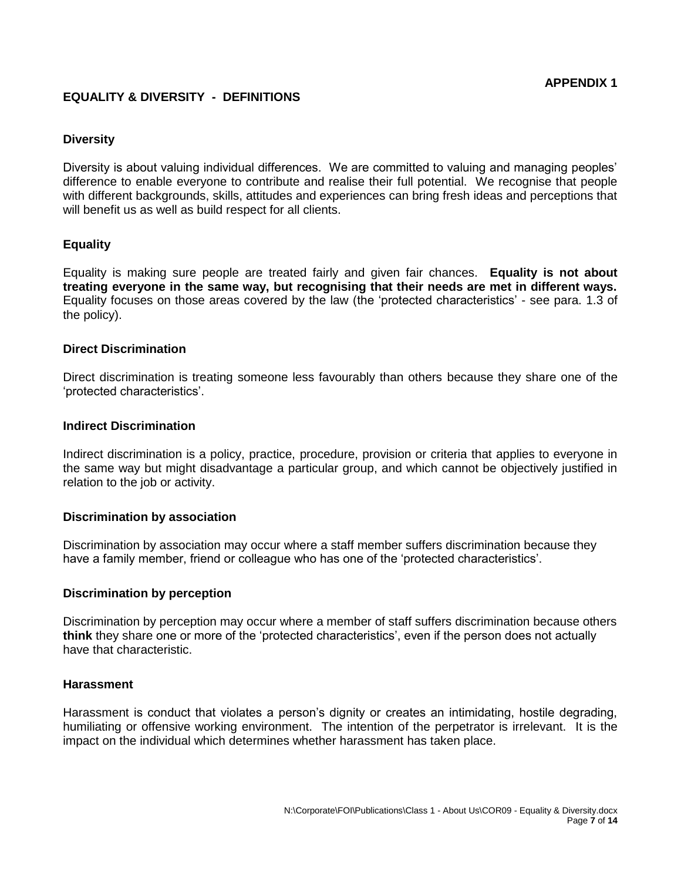### **EQUALITY & DIVERSITY - DEFINITIONS**

#### **Diversity**

Diversity is about valuing individual differences. We are committed to valuing and managing peoples' difference to enable everyone to contribute and realise their full potential. We recognise that people with different backgrounds, skills, attitudes and experiences can bring fresh ideas and perceptions that will benefit us as well as build respect for all clients.

### **Equality**

Equality is making sure people are treated fairly and given fair chances. **Equality is not about treating everyone in the same way, but recognising that their needs are met in different ways.** Equality focuses on those areas covered by the law (the 'protected characteristics' - see para. 1.3 of the policy).

#### **Direct Discrimination**

Direct discrimination is treating someone less favourably than others because they share one of the 'protected characteristics'.

#### **Indirect Discrimination**

Indirect discrimination is a policy, practice, procedure, provision or criteria that applies to everyone in the same way but might disadvantage a particular group, and which cannot be objectively justified in relation to the job or activity.

#### **Discrimination by association**

Discrimination by association may occur where a staff member suffers discrimination because they have a family member, friend or colleague who has one of the 'protected characteristics'.

#### **Discrimination by perception**

Discrimination by perception may occur where a member of staff suffers discrimination because others **think** they share one or more of the 'protected characteristics', even if the person does not actually have that characteristic.

#### **Harassment**

Harassment is conduct that violates a person's dignity or creates an intimidating, hostile degrading, humiliating or offensive working environment. The intention of the perpetrator is irrelevant. It is the impact on the individual which determines whether harassment has taken place.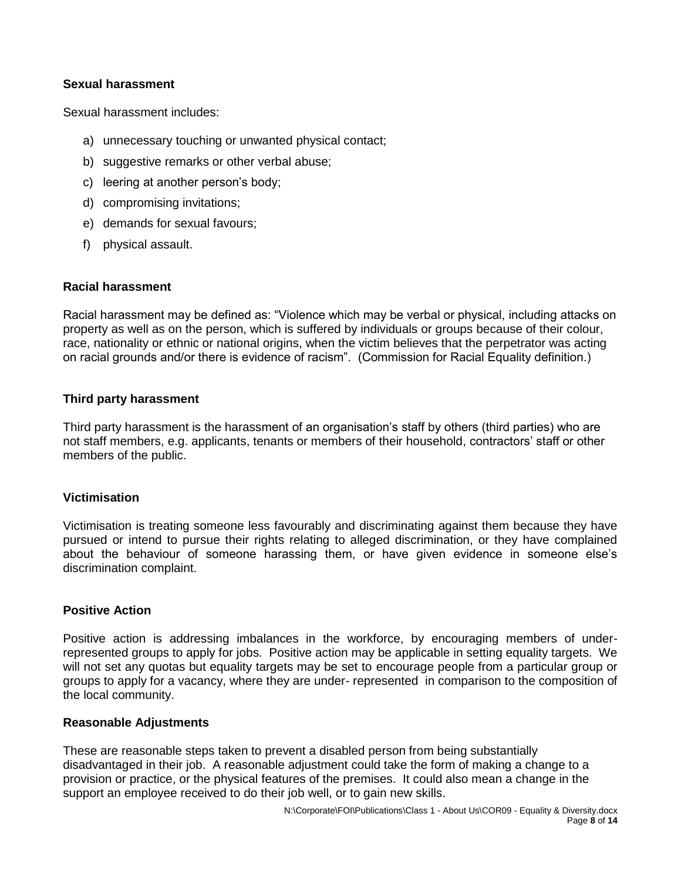### **Sexual harassment**

Sexual harassment includes:

- a) unnecessary touching or unwanted physical contact;
- b) suggestive remarks or other verbal abuse;
- c) leering at another person's body;
- d) compromising invitations;
- e) demands for sexual favours;
- f) physical assault.

#### **Racial harassment**

Racial harassment may be defined as: "Violence which may be verbal or physical, including attacks on property as well as on the person, which is suffered by individuals or groups because of their colour, race, nationality or ethnic or national origins, when the victim believes that the perpetrator was acting on racial grounds and/or there is evidence of racism". (Commission for Racial Equality definition.)

### **Third party harassment**

Third party harassment is the harassment of an organisation's staff by others (third parties) who are not staff members, e.g. applicants, tenants or members of their household, contractors' staff or other members of the public.

#### **Victimisation**

Victimisation is treating someone less favourably and discriminating against them because they have pursued or intend to pursue their rights relating to alleged discrimination, or they have complained about the behaviour of someone harassing them, or have given evidence in someone else's discrimination complaint.

#### **Positive Action**

Positive action is addressing imbalances in the workforce, by encouraging members of underrepresented groups to apply for jobs. Positive action may be applicable in setting equality targets. We will not set any quotas but equality targets may be set to encourage people from a particular group or groups to apply for a vacancy, where they are under- represented in comparison to the composition of the local community.

#### **Reasonable Adjustments**

These are reasonable steps taken to prevent a disabled person from being substantially disadvantaged in their job. A reasonable adjustment could take the form of making a change to a provision or practice, or the physical features of the premises. It could also mean a change in the support an employee received to do their job well, or to gain new skills.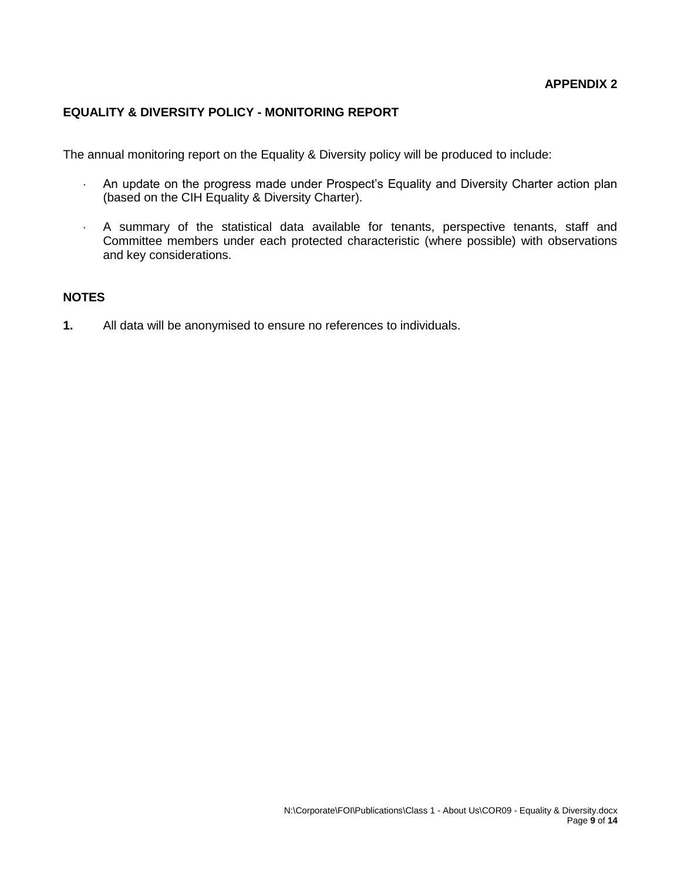### **EQUALITY & DIVERSITY POLICY - MONITORING REPORT**

The annual monitoring report on the Equality & Diversity policy will be produced to include:

- An update on the progress made under Prospect's Equality and Diversity Charter action plan (based on the CIH Equality & Diversity Charter).
- A summary of the statistical data available for tenants, perspective tenants, staff and Committee members under each protected characteristic (where possible) with observations and key considerations.

### **NOTES**

**1.** All data will be anonymised to ensure no references to individuals.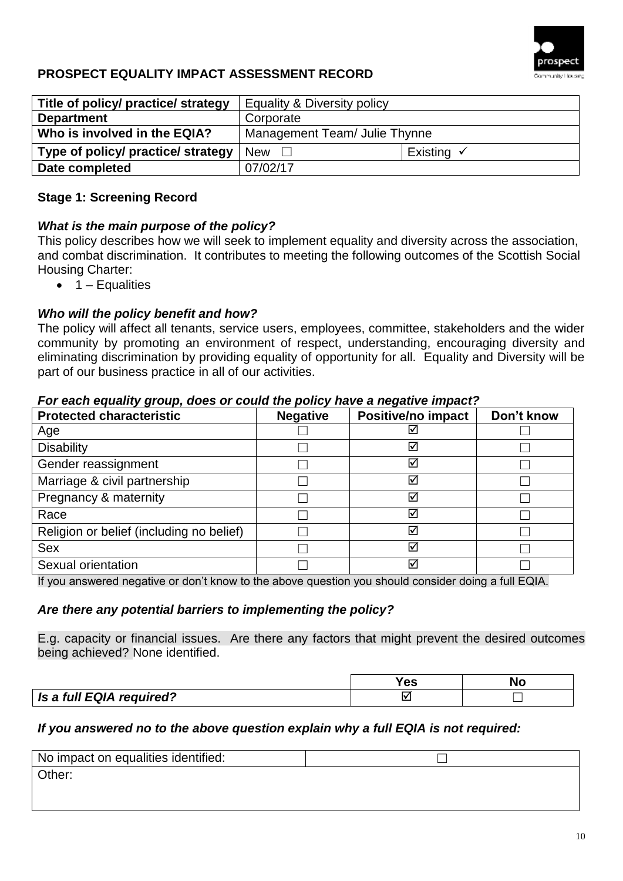

# **PROSPECT EQUALITY IMPACT ASSESSMENT RECORD**

| Title of policy/ practice/ strategy | Equality & Diversity policy   |                       |  |
|-------------------------------------|-------------------------------|-----------------------|--|
| <b>Department</b>                   | Corporate                     |                       |  |
| Who is involved in the EQIA?        | Management Team/ Julie Thynne |                       |  |
| Type of policy/ practice/ strategy  | <b>New</b>                    | Existing $\checkmark$ |  |
| Date completed                      | 07/02/17                      |                       |  |

# **Stage 1: Screening Record**

# *What is the main purpose of the policy?*

This policy describes how we will seek to implement equality and diversity across the association, and combat discrimination. It contributes to meeting the following outcomes of the Scottish Social Housing Charter:

 $\bullet$  1 – Equalities

# *Who will the policy benefit and how?*

The policy will affect all tenants, service users, employees, committee, stakeholders and the wider community by promoting an environment of respect, understanding, encouraging diversity and eliminating discrimination by providing equality of opportunity for all. Equality and Diversity will be part of our business practice in all of our activities.

### *For each equality group, does or could the policy have a negative impact?*

| <b>Protected characteristic</b>          | <b>Negative</b> | <b>Positive/no impact</b> | Don't know |
|------------------------------------------|-----------------|---------------------------|------------|
| Age                                      |                 | ⊻                         |            |
| <b>Disability</b>                        |                 | ☑                         |            |
| Gender reassignment                      |                 | ☑                         |            |
| Marriage & civil partnership             |                 | ☑                         |            |
| Pregnancy & maternity                    |                 | ☑                         |            |
| Race                                     |                 | ☑                         |            |
| Religion or belief (including no belief) |                 | ☑                         |            |
| <b>Sex</b>                               |                 | ☑                         |            |
| Sexual orientation                       |                 | ☑                         |            |

If you answered negative or don't know to the above question you should consider doing a full EQIA.

# *Are there any potential barriers to implementing the policy?*

E.g. capacity or financial issues. Are there any factors that might prevent the desired outcomes being achieved? None identified.

|                          | 53 |  |
|--------------------------|----|--|
| Is a full EQIA required? |    |  |

# *If you answered no to the above question explain why a full EQIA is not required:*

| No impact on equalities identified: |  |
|-------------------------------------|--|
| Other:                              |  |
|                                     |  |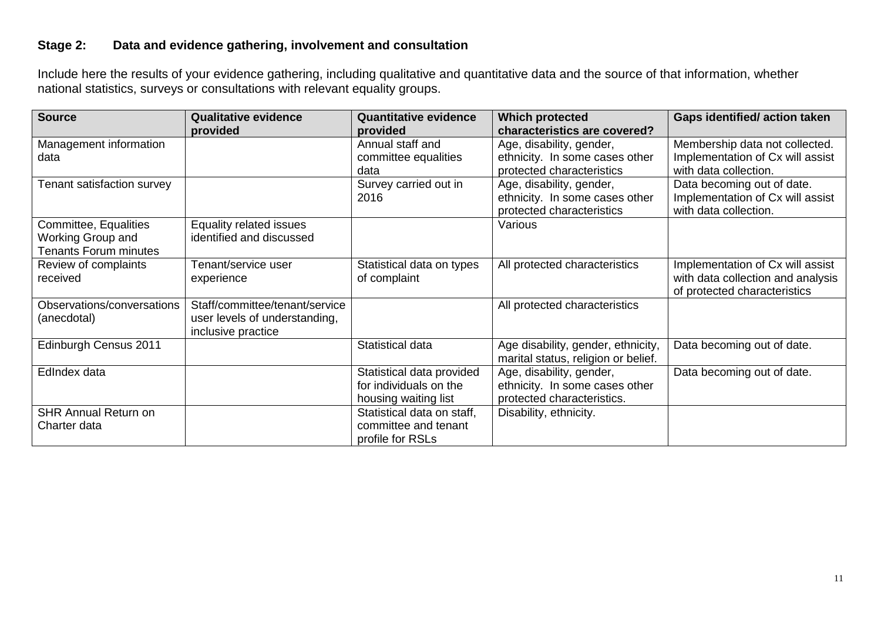# **Stage 2: Data and evidence gathering, involvement and consultation**

Include here the results of your evidence gathering, including qualitative and quantitative data and the source of that information, whether national statistics, surveys or consultations with relevant equality groups.

| <b>Source</b>                | <b>Qualitative evidence</b>    | <b>Quantitative evidence</b> | <b>Which protected</b>              | <b>Gaps identified/action taken</b> |
|------------------------------|--------------------------------|------------------------------|-------------------------------------|-------------------------------------|
|                              | provided                       | provided                     | characteristics are covered?        |                                     |
| Management information       |                                | Annual staff and             | Age, disability, gender,            | Membership data not collected.      |
| data                         |                                | committee equalities         | ethnicity. In some cases other      | Implementation of Cx will assist    |
|                              |                                | data                         | protected characteristics           | with data collection.               |
| Tenant satisfaction survey   |                                | Survey carried out in        | Age, disability, gender,            | Data becoming out of date.          |
|                              |                                | 2016                         | ethnicity. In some cases other      | Implementation of Cx will assist    |
|                              |                                |                              | protected characteristics           | with data collection.               |
| Committee, Equalities        | Equality related issues        |                              | Various                             |                                     |
| Working Group and            | identified and discussed       |                              |                                     |                                     |
| <b>Tenants Forum minutes</b> |                                |                              |                                     |                                     |
| Review of complaints         | Tenant/service user            | Statistical data on types    | All protected characteristics       | Implementation of Cx will assist    |
| received                     | experience                     | of complaint                 |                                     | with data collection and analysis   |
|                              |                                |                              |                                     | of protected characteristics        |
| Observations/conversations   | Staff/committee/tenant/service |                              | All protected characteristics       |                                     |
| (anecdotal)                  | user levels of understanding,  |                              |                                     |                                     |
|                              | inclusive practice             |                              |                                     |                                     |
| Edinburgh Census 2011        |                                | Statistical data             | Age disability, gender, ethnicity,  | Data becoming out of date.          |
|                              |                                |                              | marital status, religion or belief. |                                     |
| EdIndex data                 |                                | Statistical data provided    | Age, disability, gender,            | Data becoming out of date.          |
|                              |                                | for individuals on the       | ethnicity. In some cases other      |                                     |
|                              |                                | housing waiting list         | protected characteristics.          |                                     |
| <b>SHR Annual Return on</b>  |                                | Statistical data on staff,   | Disability, ethnicity.              |                                     |
| Charter data                 |                                | committee and tenant         |                                     |                                     |
|                              |                                | profile for RSLs             |                                     |                                     |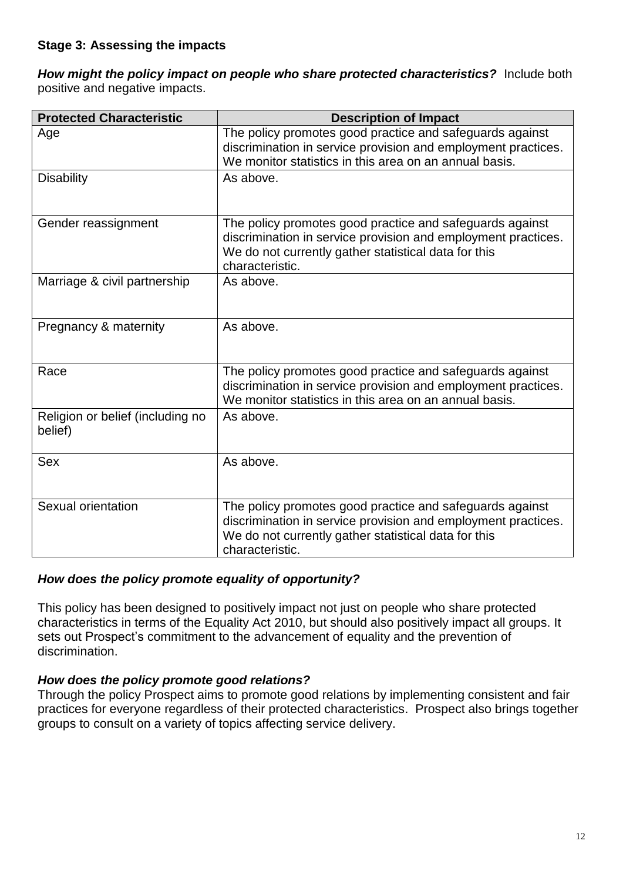*How might the policy impact on people who share protected characteristics?*Include both positive and negative impacts.

| <b>Protected Characteristic</b>             | <b>Description of Impact</b>                                                                                                                                                                         |
|---------------------------------------------|------------------------------------------------------------------------------------------------------------------------------------------------------------------------------------------------------|
| Age                                         | The policy promotes good practice and safeguards against<br>discrimination in service provision and employment practices.<br>We monitor statistics in this area on an annual basis.                  |
| <b>Disability</b>                           | As above.                                                                                                                                                                                            |
| Gender reassignment                         | The policy promotes good practice and safeguards against<br>discrimination in service provision and employment practices.<br>We do not currently gather statistical data for this<br>characteristic. |
| Marriage & civil partnership                | As above.                                                                                                                                                                                            |
| Pregnancy & maternity                       | As above.                                                                                                                                                                                            |
| Race                                        | The policy promotes good practice and safeguards against<br>discrimination in service provision and employment practices.<br>We monitor statistics in this area on an annual basis.                  |
| Religion or belief (including no<br>belief) | As above.                                                                                                                                                                                            |
| Sex                                         | As above.                                                                                                                                                                                            |
| Sexual orientation                          | The policy promotes good practice and safeguards against<br>discrimination in service provision and employment practices.<br>We do not currently gather statistical data for this<br>characteristic. |

# *How does the policy promote equality of opportunity?*

This policy has been designed to positively impact not just on people who share protected characteristics in terms of the Equality Act 2010, but should also positively impact all groups. It sets out Prospect's commitment to the advancement of equality and the prevention of discrimination.

# *How does the policy promote good relations?*

Through the policy Prospect aims to promote good relations by implementing consistent and fair practices for everyone regardless of their protected characteristics. Prospect also brings together groups to consult on a variety of topics affecting service delivery.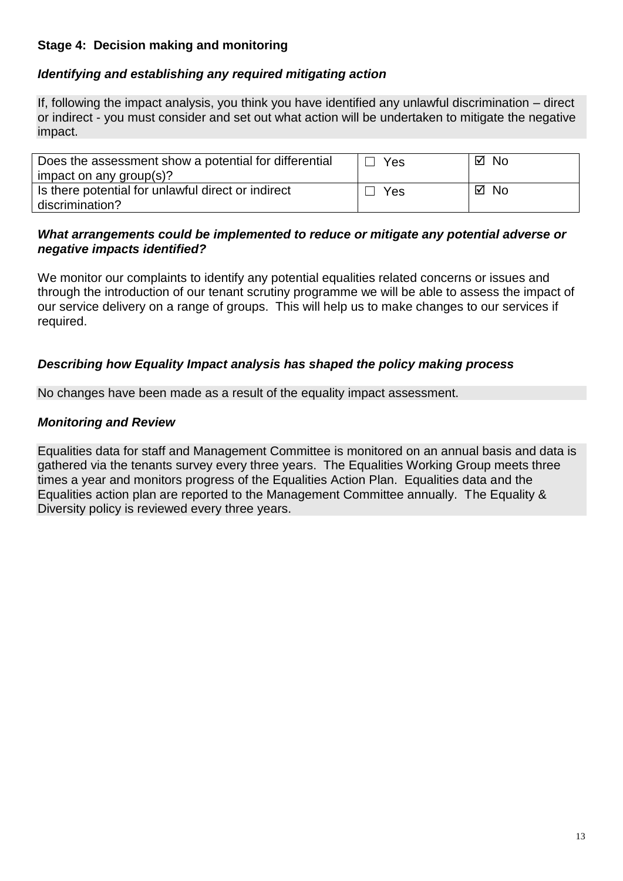# **Stage 4: Decision making and monitoring**

# *Identifying and establishing any required mitigating action*

If, following the impact analysis, you think you have identified any unlawful discrimination – direct or indirect - you must consider and set out what action will be undertaken to mitigate the negative impact.

| Does the assessment show a potential for differential<br>impact on any group(s)? | Yes | ⊠ No           |
|----------------------------------------------------------------------------------|-----|----------------|
| Is there potential for unlawful direct or indirect<br>discrimination?            | Yes | <b>No</b><br>☑ |

# *What arrangements could be implemented to reduce or mitigate any potential adverse or negative impacts identified?*

We monitor our complaints to identify any potential equalities related concerns or issues and through the introduction of our tenant scrutiny programme we will be able to assess the impact of our service delivery on a range of groups. This will help us to make changes to our services if required.

# *Describing how Equality Impact analysis has shaped the policy making process*

No changes have been made as a result of the equality impact assessment.

# *Monitoring and Review*

Equalities data for staff and Management Committee is monitored on an annual basis and data is gathered via the tenants survey every three years. The Equalities Working Group meets three times a year and monitors progress of the Equalities Action Plan. Equalities data and the Equalities action plan are reported to the Management Committee annually. The Equality & Diversity policy is reviewed every three years.